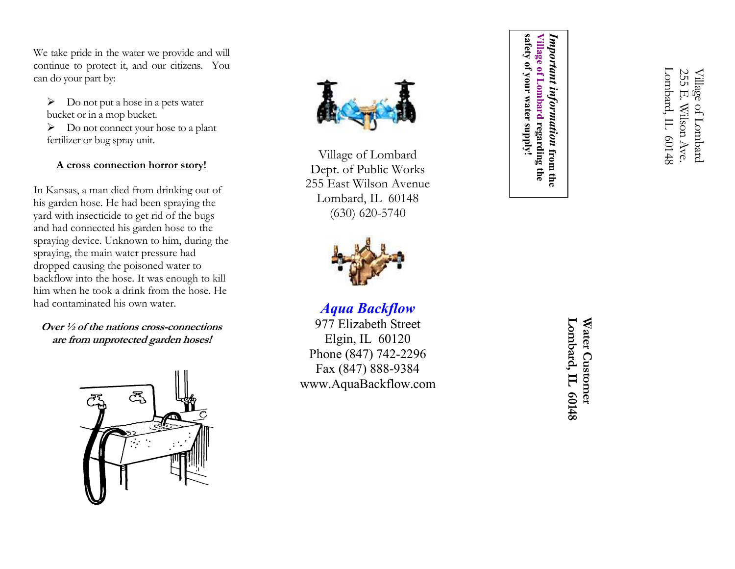We take pride in the water we provide and will continue to protect it, and our citizens. You can do your part by:

 $\triangleright$  Do not put a hose in a pets water bucket or in a mop bucket.

 $\triangleright$  Do not connect your hose to a plant fertilizer or bug spray unit.

# A cross connection horror story!

In Kansas, a man died from drinking out of his garden hose. He had been spraying the yard with insecticide to get rid of the bugs and had connected his garden hose to the spraying device. Unknown to him, during the spraying, the main water pressure had dropped causing the poisoned water to backflow into the hose. It was enough to kill him when he took a drink from the hose. He had contaminated his own water.

Over ½ of the nations cross-connections are from unprotected garden hoses!





Village of Lombard Dept. of Public Works 255 East Wilson Avenue Lombard, IL 60148 (630) 620-5740



Aqua Backflow

 977 Elizabeth Street Elgin, IL 60120 Phone (847) 742-2296 Fax (847) 888-9384www.AquaBackflow.com safety of your water supply! safety of your water supply! Village of Lombard regarding the Village of Lombard regarding the Important information from the Important information

> Lombard, IL 60148 Lombard, IL 60148 Water Customer Water Customer

Lombard, IL 60148 Lombard, IL 60148 255 E. Wilson Ave. 255 E. Wilson Ave Village of Lombard Village of Lombard